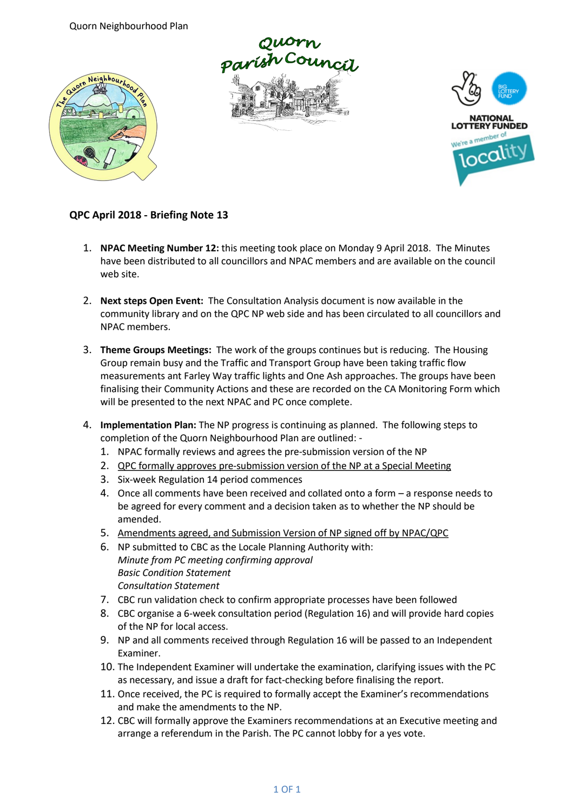Quorn Neighbourhood Plan







## **QPC April 2018 - Briefing Note 13**

- 1. **NPAC Meeting Number 12:** this meeting took place on Monday 9 April 2018. The Minutes have been distributed to all councillors and NPAC members and are available on the council web site.
- 2. **Next steps Open Event:** The Consultation Analysis document is now available in the community library and on the QPC NP web side and has been circulated to all councillors and NPAC members.
- 3. **Theme Groups Meetings:** The work of the groups continues but is reducing. The Housing Group remain busy and the Traffic and Transport Group have been taking traffic flow measurements ant Farley Way traffic lights and One Ash approaches. The groups have been finalising their Community Actions and these are recorded on the CA Monitoring Form which will be presented to the next NPAC and PC once complete.
- 4. **Implementation Plan:** The NP progress is continuing as planned. The following steps to completion of the Quorn Neighbourhood Plan are outlined: -
	- 1. NPAC formally reviews and agrees the pre-submission version of the NP
	- 2. QPC formally approves pre-submission version of the NP at a Special Meeting
	- 3. Six-week Regulation 14 period commences
	- 4. Once all comments have been received and collated onto a form a response needs to be agreed for every comment and a decision taken as to whether the NP should be amended.
	- 5. Amendments agreed, and Submission Version of NP signed off by NPAC/QPC
	- 6. NP submitted to CBC as the Locale Planning Authority with: *Minute from PC meeting confirming approval Basic Condition Statement Consultation Statement*
	- 7. CBC run validation check to confirm appropriate processes have been followed
	- 8. CBC organise a 6-week consultation period (Regulation 16) and will provide hard copies of the NP for local access.
	- 9. NP and all comments received through Regulation 16 will be passed to an Independent Examiner.
	- 10. The Independent Examiner will undertake the examination, clarifying issues with the PC as necessary, and issue a draft for fact-checking before finalising the report.
	- 11. Once received, the PC is required to formally accept the Examiner's recommendations and make the amendments to the NP.
	- 12. CBC will formally approve the Examiners recommendations at an Executive meeting and arrange a referendum in the Parish. The PC cannot lobby for a yes vote.